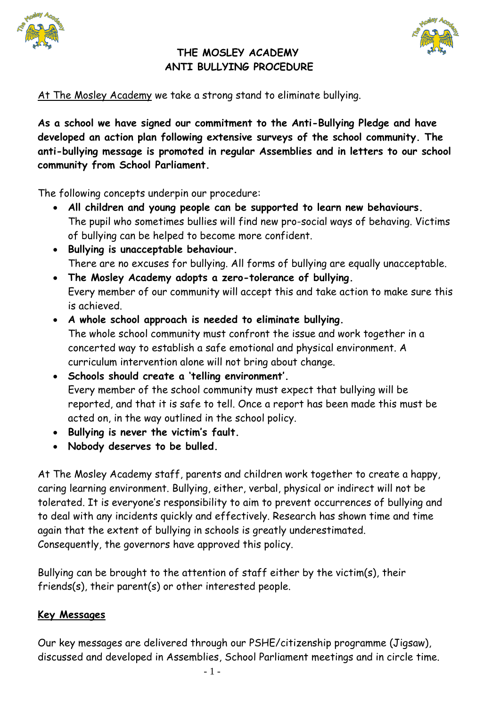



#### **THE MOSLEY ACADEMY ANTI BULLYING PROCEDURE**

At The Mosley Academy we take a strong stand to eliminate bullying.

**As a school we have signed our commitment to the Anti-Bullying Pledge and have developed an action plan following extensive surveys of the school community. The anti-bullying message is promoted in regular Assemblies and in letters to our school community from School Parliament.**

The following concepts underpin our procedure:

- **All children and young people can be supported to learn new behaviours.** The pupil who sometimes bullies will find new pro-social ways of behaving. Victims of bullying can be helped to become more confident.
- **Bullying is unacceptable behaviour.**  There are no excuses for bullying. All forms of bullying are equally unacceptable.
- **The Mosley Academy adopts a zero-tolerance of bullying.**  Every member of our community will accept this and take action to make sure this is achieved.
- **A whole school approach is needed to eliminate bullying.**  The whole school community must confront the issue and work together in a concerted way to establish a safe emotional and physical environment. A curriculum intervention alone will not bring about change.
- **Schools should create a 'telling environment'.**  Every member of the school community must expect that bullying will be reported, and that it is safe to tell. Once a report has been made this must be acted on, in the way outlined in the school policy.
- **Bullying is never the victim's fault.**
- **Nobody deserves to be bulled.**

At The Mosley Academy staff, parents and children work together to create a happy, caring learning environment. Bullying, either, verbal, physical or indirect will not be tolerated. It is everyone's responsibility to aim to prevent occurrences of bullying and to deal with any incidents quickly and effectively. Research has shown time and time again that the extent of bullying in schools is greatly underestimated. Consequently, the governors have approved this policy.

Bullying can be brought to the attention of staff either by the victim(s), their friends(s), their parent(s) or other interested people.

#### **Key Messages**

Our key messages are delivered through our PSHE/citizenship programme (Jigsaw), discussed and developed in Assemblies, School Parliament meetings and in circle time.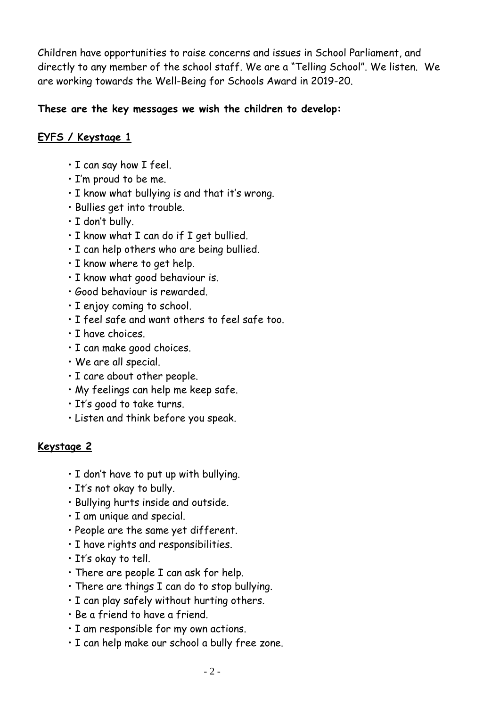Children have opportunities to raise concerns and issues in School Parliament, and directly to any member of the school staff. We are a "Telling School". We listen. We are working towards the Well-Being for Schools Award in 2019-20.

#### **These are the key messages we wish the children to develop:**

#### **EYFS / Keystage 1**

- I can say how I feel.
- I'm proud to be me.
- I know what bullying is and that it's wrong.
- Bullies get into trouble.
- I don't bully.
- I know what I can do if I get bullied.
- I can help others who are being bullied.
- I know where to get help.
- I know what good behaviour is.
- Good behaviour is rewarded.
- I enjoy coming to school.
- I feel safe and want others to feel safe too.
- I have choices.
- I can make good choices.
- We are all special.
- I care about other people.
- My feelings can help me keep safe.
- It's good to take turns.
- Listen and think before you speak.

#### **Keystage 2**

- I don't have to put up with bullying.
- It's not okay to bully.
- Bullying hurts inside and outside.
- I am unique and special.
- People are the same yet different.
- I have rights and responsibilities.
- It's okay to tell.
- There are people I can ask for help.
- There are things I can do to stop bullying.
- I can play safely without hurting others.
- Be a friend to have a friend.
- I am responsible for my own actions.
- I can help make our school a bully free zone.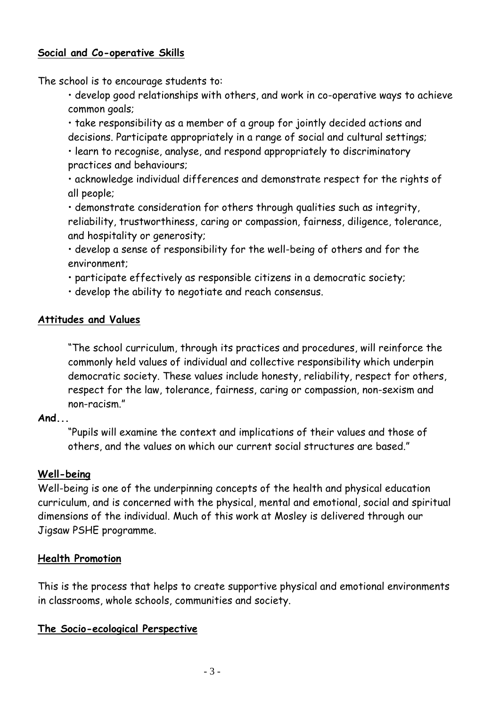#### **Social and Co-operative Skills**

The school is to encourage students to:

• develop good relationships with others, and work in co-operative ways to achieve common goals;

• take responsibility as a member of a group for jointly decided actions and decisions. Participate appropriately in a range of social and cultural settings;

• learn to recognise, analyse, and respond appropriately to discriminatory practices and behaviours;

• acknowledge individual differences and demonstrate respect for the rights of all people;

• demonstrate consideration for others through qualities such as integrity, reliability, trustworthiness, caring or compassion, fairness, diligence, tolerance, and hospitality or generosity;

• develop a sense of responsibility for the well-being of others and for the environment;

• participate effectively as responsible citizens in a democratic society;

• develop the ability to negotiate and reach consensus.

#### **Attitudes and Values**

"The school curriculum, through its practices and procedures, will reinforce the commonly held values of individual and collective responsibility which underpin democratic society. These values include honesty, reliability, respect for others, respect for the law, tolerance, fairness, caring or compassion, non-sexism and non-racism."

#### **And...**

"Pupils will examine the context and implications of their values and those of others, and the values on which our current social structures are based."

#### **Well-being**

Well-being is one of the underpinning concepts of the health and physical education curriculum, and is concerned with the physical, mental and emotional, social and spiritual dimensions of the individual. Much of this work at Mosley is delivered through our Jigsaw PSHE programme.

#### **Health Promotion**

This is the process that helps to create supportive physical and emotional environments in classrooms, whole schools, communities and society.

#### **The Socio-ecological Perspective**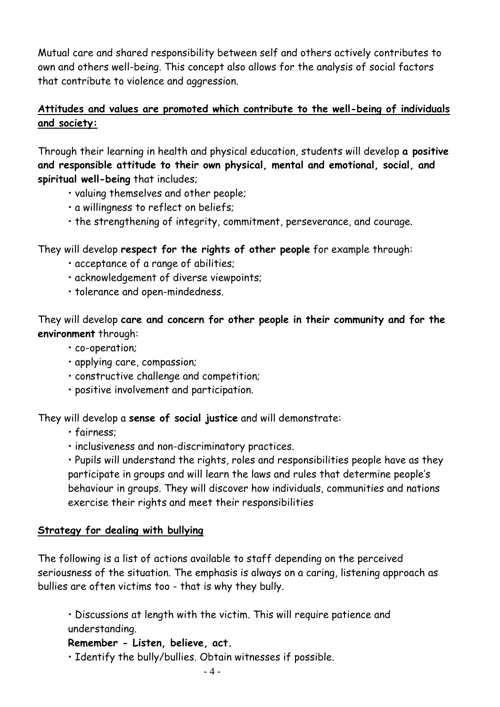Mutual care and shared responsibility between self and others actively contributes to own and others well-being. This concept also allows for the analysis of social factors that contribute to violence and aggression.

#### **Attitudes and values are promoted which contribute to the well-being of individuals and society:**

Through their learning in health and physical education, students will develop **a positive and responsible attitude to their own physical, mental and emotional, social, and spiritual well-being** that includes;

- valuing themselves and other people;
- a willingness to reflect on beliefs;
- the strengthening of integrity, commitment, perseverance, and courage.

#### They will develop **respect for the rights of other people** for example through:

- acceptance of a range of abilities;
- acknowledgement of diverse viewpoints;
- tolerance and open-mindedness.

They will develop **care and concern for other people in their community and for the environment** through:

- co-operation;
- applying care, compassion;
- constructive challenge and competition;
- positive involvement and participation.

They will develop a **sense of social justice** and will demonstrate:

- fairness;
- inclusiveness and non-discriminatory practices.

• Pupils will understand the rights, roles and responsibilities people have as they participate in groups and will learn the laws and rules that determine people's behaviour in groups. They will discover how individuals, communities and nations exercise their rights and meet their responsibilities

#### **Strategy for dealing with bullying**

The following is a list of actions available to staff depending on the perceived seriousness of the situation. The emphasis is always on a caring, listening approach as bullies are often victims too - that is why they bully.

• Discussions at length with the victim. This will require patience and understanding.

#### **Remember - Listen, believe, act.**

• Identify the bully/bullies. Obtain witnesses if possible.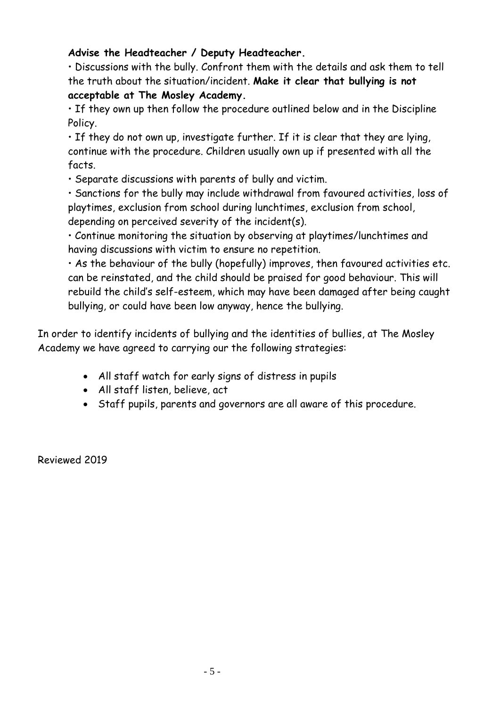#### **Advise the Headteacher / Deputy Headteacher.**

• Discussions with the bully. Confront them with the details and ask them to tell the truth about the situation/incident. **Make it clear that bullying is not acceptable at The Mosley Academy.** 

• If they own up then follow the procedure outlined below and in the Discipline Policy.

• If they do not own up, investigate further. If it is clear that they are lying, continue with the procedure. Children usually own up if presented with all the facts.

• Separate discussions with parents of bully and victim.

• Sanctions for the bully may include withdrawal from favoured activities, loss of playtimes, exclusion from school during lunchtimes, exclusion from school, depending on perceived severity of the incident(s).

• Continue monitoring the situation by observing at playtimes/lunchtimes and having discussions with victim to ensure no repetition.

• As the behaviour of the bully (hopefully) improves, then favoured activities etc. can be reinstated, and the child should be praised for good behaviour. This will rebuild the child's self-esteem, which may have been damaged after being caught bullying, or could have been low anyway, hence the bullying.

In order to identify incidents of bullying and the identities of bullies, at The Mosley Academy we have agreed to carrying our the following strategies:

- All staff watch for early signs of distress in pupils
- All staff listen, believe, act
- Staff pupils, parents and governors are all aware of this procedure.

Reviewed 2019